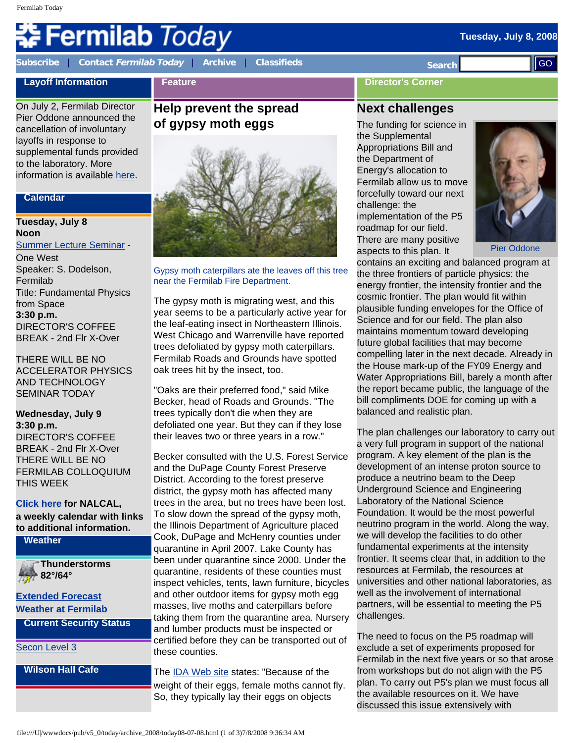#### **Tuesday, July 8, 2008**

# Fermilab *Today*

**[Subscribe](http://www.fnal.gov/pub/today/subscription.html)** | **Contact [Fermilab Today](mailto:today@fnal.gov)** | **[Archive](http://www.fnal.gov/pub/today/archive.html)** | **[Classifieds](http://www.fnal.gov/pub/today/classifieds.html) Search** 

**Feature**

#### **Director's Corner**

# **Layoff Information**

On July 2, Fermilab Director Pier Oddone announced the cancellation of involuntary layoffs in response to supplemental funds provided to the laboratory. More information is available [here.](http://www.fnal.gov/faw/layoffs/)

#### **Calendar**

## **Tuesday, July 8 Noon**

[Summer Lecture Seminar](http://sist.fnal.gov/lectures.html) - One West Speaker: S. Dodelson, Fermilab Title: Fundamental Physics from Space **3:30 p.m.** DIRECTOR'S COFFEE BREAK - 2nd Flr X-Over

THERE WILL BE NO ACCELERATOR PHYSICS AND TECHNOLOGY SEMINAR TODAY

#### **Wednesday, July 9 3:30 p.m.** DIRECTOR'S COFFEE BREAK - 2nd Flr X-Over THERE WILL BE NO FERMILAB COLLOQUIUM THIS WEEK

#### **[Click here](http://www.fnal.gov/directorate/nalcal/nalcal07_07_08.html) for NALCAL, a weekly calendar with links to additional information.**

**Weather**

**Thunderstorms 82°/64°**

**[Extended Forecast](http://forecast.weather.gov/MapClick.php?CityName=Batavia&state=IL&site=LOT&textField1=41.8506&textField2=-88.3004) [Weather at Fermilab](http://www-esh.fnal.gov/pls/default/weather.html) Current Security Status**

[Secon Level 3](http://www.fnal.gov/pub/about/public_affairs/currentstatus.html)

**Wilson Hall Cafe**

# **Help prevent the spread of gypsy moth eggs**



Gypsy moth caterpillars ate the leaves off this tree near the Fermilab Fire Department.

The gypsy moth is migrating west, and this year seems to be a particularly active year for the leaf-eating insect in Northeastern Illinois. West Chicago and Warrenville have reported trees defoliated by gypsy moth caterpillars. Fermilab Roads and Grounds have spotted oak trees hit by the insect, too.

"Oaks are their preferred food," said Mike Becker, head of Roads and Grounds. "The trees typically don't die when they are defoliated one year. But they can if they lose their leaves two or three years in a row."

Becker consulted with the U.S. Forest Service and the DuPage County Forest Preserve District. According to the forest preserve district, the gypsy moth has affected many trees in the area, but no trees have been lost. To slow down the spread of the gypsy moth, the Illinois Department of Agriculture placed Cook, DuPage and McHenry counties under quarantine in April 2007. Lake County has been under quarantine since 2000. Under the quarantine, residents of these counties must inspect vehicles, tents, lawn furniture, bicycles and other outdoor items for gypsy moth egg masses, live moths and caterpillars before taking them from the quarantine area. Nursery and lumber products must be inspected or certified before they can be transported out of these counties. file://www.files://www.filestock.com/internal control internal control internal control internal control internal control internal control internal control internal control internal control internal control internal contro

The [IDA Web site](http://www.agr.state.il.us/Environment/Pest/gypsymoth.html) states: "Because of the weight of their eggs, female moths cannot fly. So, they typically lay their eggs on objects

# **Next challenges**

The funding for science in the Supplemental Appropriations Bill and the Department of Energy's allocation to Fermilab allow us to move forcefully toward our next challenge: the implementation of the P5 roadmap for our field. There are many positive aspects to this plan. It



Pier Oddone

contains an exciting and balanced program at the three frontiers of particle physics: the energy frontier, the intensity frontier and the cosmic frontier. The plan would fit within plausible funding envelopes for the Office of Science and for our field. The plan also maintains momentum toward developing future global facilities that may become compelling later in the next decade. Already in the House mark-up of the FY09 Energy and Water Appropriations Bill, barely a month after the report became public, the language of the bill compliments DOE for coming up with a balanced and realistic plan.

The plan challenges our laboratory to carry out a very full program in support of the national program. A key element of the plan is the development of an intense proton source to produce a neutrino beam to the Deep Underground Science and Engineering Laboratory of the National Science Foundation. It would be the most powerful neutrino program in the world. Along the way, we will develop the facilities to do other fundamental experiments at the intensity frontier. It seems clear that, in addition to the resources at Fermilab, the resources at universities and other national laboratories, as well as the involvement of international partners, will be essential to meeting the P5 challenges.

The need to focus on the P5 roadmap will exclude a set of experiments proposed for Fermilab in the next five years or so that arose from workshops but do not align with the P5 plan. To carry out P5's plan we must focus all the available resources on it. We have discussed this issue extensively with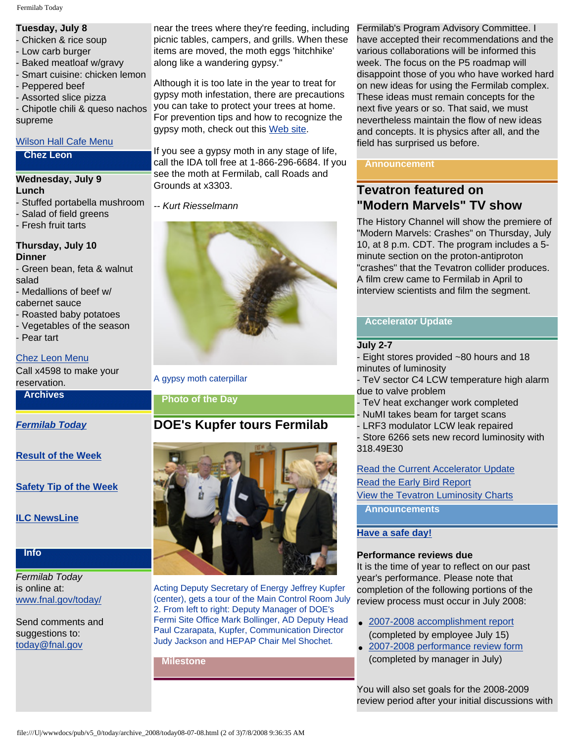### **Tuesday, July 8**

- Chicken & rice soup
- Low carb burger
- Baked meatloaf w/gravy
- Smart cuisine: chicken lemon
- Peppered beef
- Assorted slice pizza

- Chipotle chili & queso nachos supreme

#### [Wilson Hall Cafe Menu](http://bss.fnal.gov/cafe/index.html)

#### **Chez Leon**

# **Wednesday, July 9**

#### **Lunch**

- Stuffed portabella mushroom
- Salad of field greens
- Fresh fruit tarts

#### **Thursday, July 10 Dinner**

- Green bean, feta & walnut salad
- Medallions of beef w/
- cabernet sauce
- Roasted baby potatoes
- Vegetables of the season
- Pear tart

#### [Chez Leon Menu](http://bss.fnal.gov/chezleon/index.html)

Call x4598 to make your reservation.

#### **Archives**

#### *[Fermilab Today](http://www.fnal.gov/pub/today/archive.html)*

#### **[Result of the Week](http://www.fnal.gov/pub/today/resultoftheweek/index.html)**

#### **[Safety Tip of the Week](http://www.fnal.gov/pub/today/safety/)**

**[ILC NewsLine](http://www.linearcollider.org/newsline/archive/index.html)**

#### **Info**

*Fermilab Today* is online at: [www.fnal.gov/today/](http://www.fnal.gov/today/)

Send comments and suggestions to: [today@fnal.gov](mailto:today@fnal.gov)

near the trees where they're feeding, including picnic tables, campers, and grills. When these items are moved, the moth eggs 'hitchhike' along like a wandering gypsy."

Although it is too late in the year to treat for gypsy moth infestation, there are precautions you can take to protect your trees at home. For prevention tips and how to recognize the gypsy moth, check out this [Web site.](http://www.lakebluff.org/index.asp?Type=B_BASIC&SEC=%7BB32DBACE-EB1F-4F3C-BFFC-EB6C5F5D8CC9%7D)

If you see a gypsy moth in any stage of life, call the IDA toll free at 1-866-296-6684. If you see the moth at Fermilab, call Roads and Grounds at x3303.

*-- Kurt Riesselmann*



A gypsy moth caterpillar

#### **Photo of the Day**

# **DOE's Kupfer tours Fermilab**



Acting Deputy Secretary of Energy Jeffrey Kupfer (center), gets a tour of the Main Control Room July 2. From left to right: Deputy Manager of DOE's Fermi Site Office Mark Bollinger, AD Deputy Head Paul Czarapata, Kupfer, Communication Director Judy Jackson and HEPAP Chair Mel Shochet.

**Milestone**

Fermilab's Program Advisory Committee. I have accepted their recommendations and the various collaborations will be informed this week. The focus on the P5 roadmap will disappoint those of you who have worked hard on new ideas for using the Fermilab complex. These ideas must remain concepts for the next five years or so. That said, we must nevertheless maintain the flow of new ideas and concepts. It is physics after all, and the field has surprised us before.

#### **Announcement**

# **Tevatron featured on "Modern Marvels" TV show**

The History Channel will show the premiere of "Modern Marvels: Crashes" on Thursday, July 10, at 8 p.m. CDT. The program includes a 5 minute section on the proton-antiproton "crashes" that the Tevatron collider produces. A film crew came to Fermilab in April to interview scientists and film the segment.

#### **Accelerator Update**

#### **July 2-7**

- Eight stores provided ~80 hours and 18 minutes of luminosity
- TeV sector C4 LCW temperature high alarm due to valve problem
- TeV heat exchanger work completed
- NuMI takes beam for target scans
- LRF3 modulator LCW leak repaired
- Store 6266 sets new record luminosity with 318.49E30

# [Read the Current Accelerator Update](http://www.fnal.gov/pub/news08/update.html) [Read the Early Bird Report](http://www-bd.fnal.gov/earlybird/ebird.html) [View the Tevatron Luminosity Charts](http://www.fnal.gov/pub/now/tevlum.html)

**Announcements**

#### **[Have a safe day!](http://www.fnal.gov/pub/about/safety/profiles.html)**

#### **Performance reviews due**

It is the time of year to reflect on our past year's performance. Please note that completion of the following portions of the review process must occur in July 2008:

- [2007-2008 accomplishment report](http://wdrs.fnal.gov/elr/employee_ar_04.doc) (completed by employee July 15)
- [2007-2008 performance review form](http://wdrs.fnal.gov/elr/perfrev_07.doc) (completed by manager in July)

You will also set goals for the 2008-2009 review period after your initial discussions with